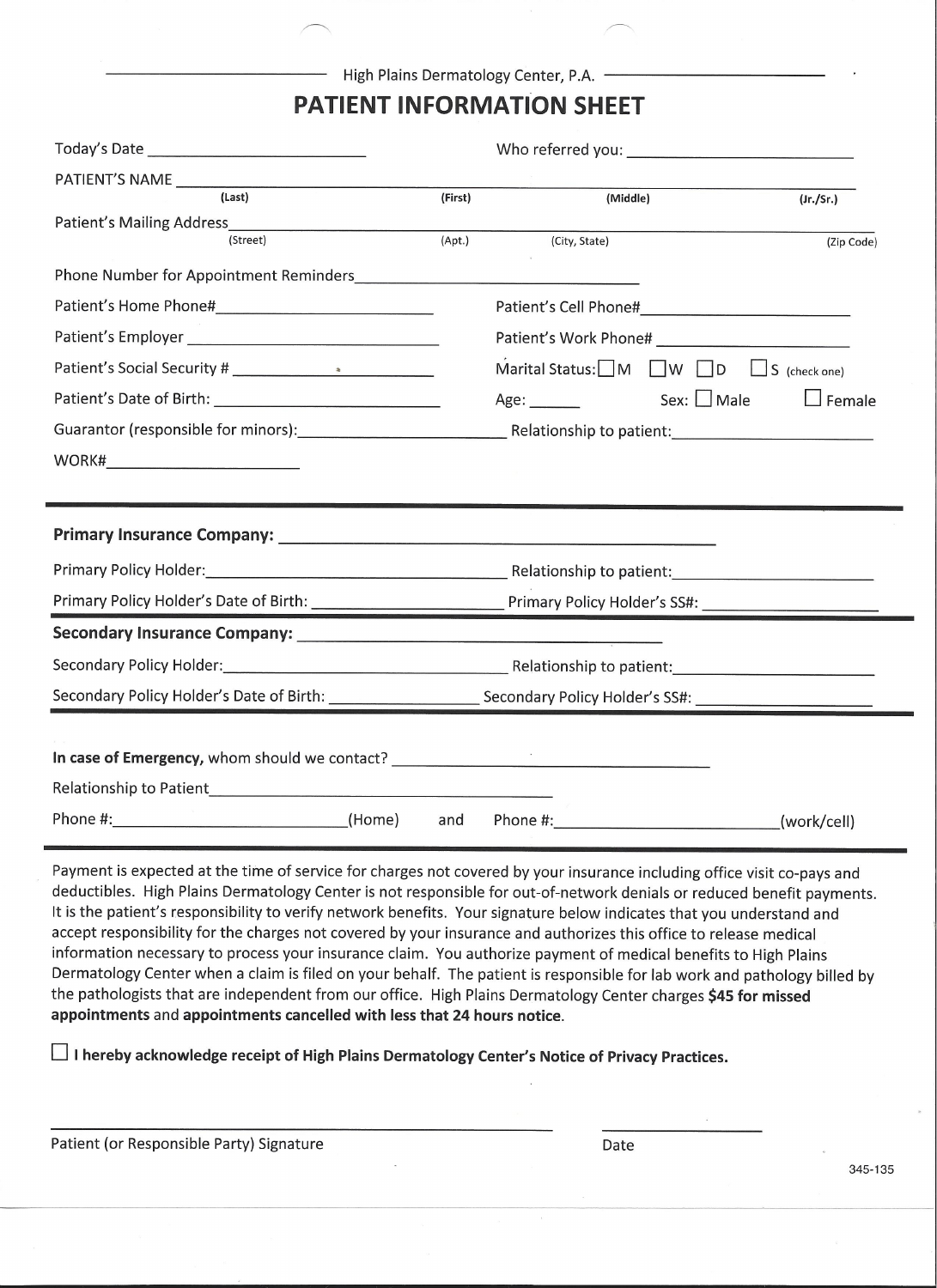High Plains Dermatology Center, P.A.

## **PATIENT INFORMATION SHEET**

| (Last)                                                                                                        | (First) | (Middle)                                                        |  | (Jr./Sr.)     |
|---------------------------------------------------------------------------------------------------------------|---------|-----------------------------------------------------------------|--|---------------|
| Patient's Mailing Address<br><u>Land Address</u><br>(Street)                                                  | (Apt.)  | (City, State)                                                   |  |               |
|                                                                                                               |         |                                                                 |  | (Zip Code)    |
|                                                                                                               |         |                                                                 |  |               |
|                                                                                                               |         |                                                                 |  |               |
|                                                                                                               |         |                                                                 |  |               |
|                                                                                                               |         | Marital Status: $\Box$ M $\Box$ W $\Box$ D $\Box$ S (check one) |  |               |
|                                                                                                               |         | $Age:$ Sex: Male                                                |  | $\Box$ Female |
|                                                                                                               |         |                                                                 |  |               |
|                                                                                                               |         |                                                                 |  |               |
|                                                                                                               |         |                                                                 |  |               |
|                                                                                                               |         |                                                                 |  |               |
|                                                                                                               |         |                                                                 |  |               |
|                                                                                                               |         |                                                                 |  |               |
| Primary Policy Holder: 1990 1990 1991 - Relationship to patient: 1991 1992 1991 1991 1992 1993 1994 1995 1996 |         |                                                                 |  |               |
|                                                                                                               |         |                                                                 |  |               |
|                                                                                                               |         |                                                                 |  |               |
|                                                                                                               |         |                                                                 |  |               |
|                                                                                                               |         |                                                                 |  |               |
|                                                                                                               |         |                                                                 |  |               |
| In case of Emergency, whom should we contact? __________________________________                              |         |                                                                 |  |               |
|                                                                                                               |         |                                                                 |  |               |

Payment is expected at the time of service for charges not covered by your insurance including office visit co-pays and deductibles. High Plains Dermatology Center is not responsible for out-of-network denials or reduced benefit payments. It is the patient's responsibility to verify network benefits. Your signature below indicates that you understand and accept responsibility for the charges not covered by your insurance and authorizes this office to release medical information necessary to process your insurance claim. You authorize payment of medical benefits to High Plains Dermatology Center when a claim is filed on your behalf. The patient is responsible for lab work and pathology billed by the pathologists that are independent from our office. High Plains Dermatology Center charges \$45 for missed appointments and appointments cancelled with less that 24 hours notice.

□ I hereby acknowledge receipt of High Plains Dermatology Center's Notice of Privacy Practices.

|  | Patient (or Responsible Party) Signature |  |  |
|--|------------------------------------------|--|--|
|--|------------------------------------------|--|--|

Date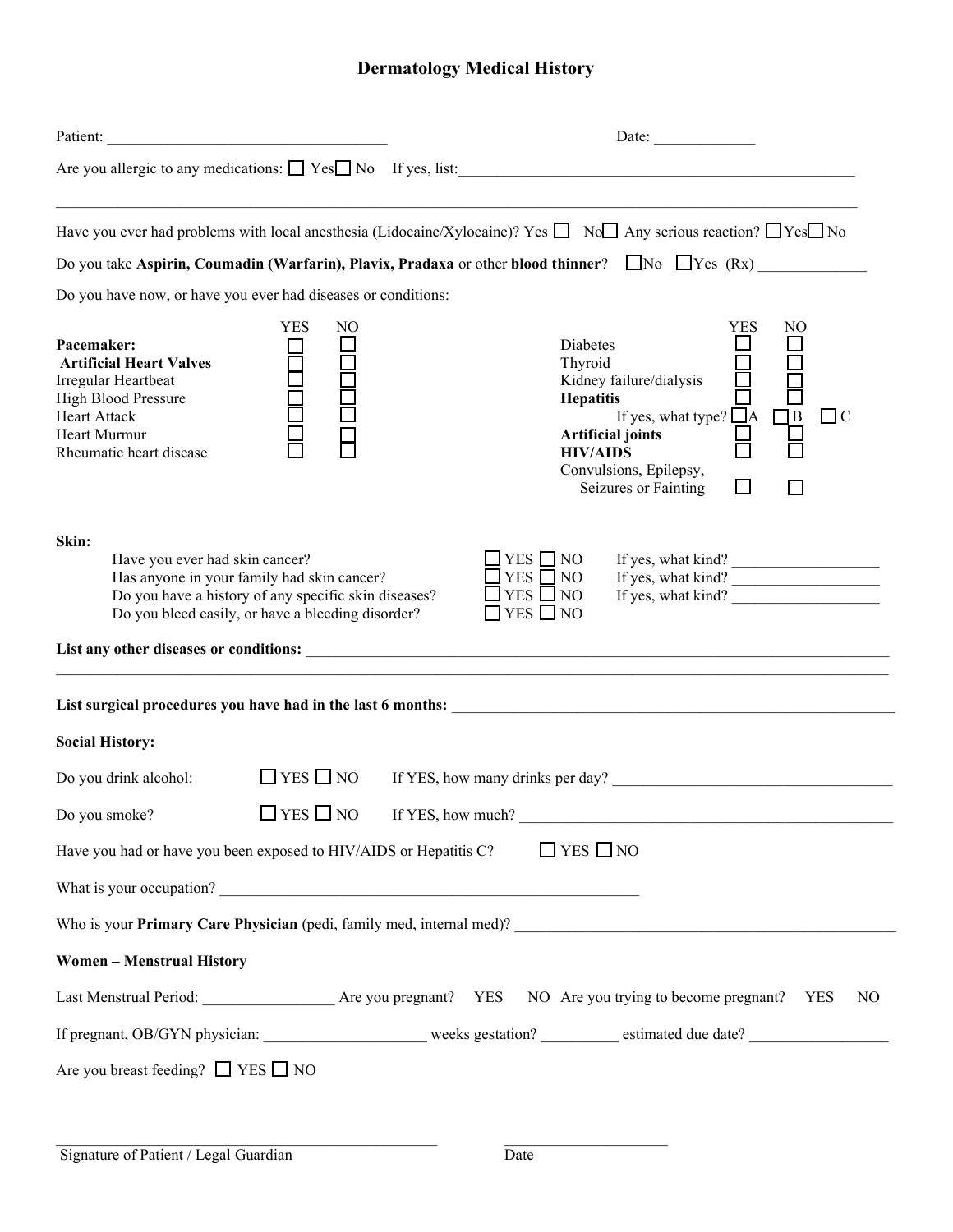# **Dermatology Medical History**

| Patient:                                                                                                                                                     |                                                                                                                                                         | Date: $\frac{1}{\sqrt{1-\frac{1}{2}}\cdot\frac{1}{2}}$                                                                                                                                                                                                                                                                        |
|--------------------------------------------------------------------------------------------------------------------------------------------------------------|---------------------------------------------------------------------------------------------------------------------------------------------------------|-------------------------------------------------------------------------------------------------------------------------------------------------------------------------------------------------------------------------------------------------------------------------------------------------------------------------------|
|                                                                                                                                                              |                                                                                                                                                         |                                                                                                                                                                                                                                                                                                                               |
|                                                                                                                                                              |                                                                                                                                                         | Have you ever had problems with local anesthesia (Lidocaine/Xylocaine)? Yes $\Box$ No $\Box$ Any serious reaction? $\Box$ Yes $\Box$ No                                                                                                                                                                                       |
|                                                                                                                                                              |                                                                                                                                                         | Do you take Aspirin, Coumadin (Warfarin), Plavix, Pradaxa or other blood thinner? $\Box$ No $\Box$ Yes (Rx)                                                                                                                                                                                                                   |
|                                                                                                                                                              | Do you have now, or have you ever had diseases or conditions:                                                                                           |                                                                                                                                                                                                                                                                                                                               |
| Pacemaker:<br><b>Artificial Heart Valves</b><br>Irregular Heartbeat<br>High Blood Pressure<br><b>Heart Attack</b><br>Heart Murmur<br>Rheumatic heart disease | <b>YES</b><br>NO                                                                                                                                        | <b>YES</b><br>NO<br>Diabetes<br>目<br>H<br>$\begin{array}{c} \square \\ \square \end{array}$<br>Thyroid<br>Kidney failure/dialysis<br><b>Hepatitis</b><br>If yes, what type? $\overline{\Box}$ A $\Box$ B<br>$\Box$<br><b>Artificial joints</b><br><b>HIV/AIDS</b><br>Convulsions, Epilepsy,<br>$\Box$<br>Seizures or Fainting |
| Skin:<br>Have you ever had skin cancer?                                                                                                                      | Has anyone in your family had skin cancer?<br>Do you have a history of any specific skin diseases?<br>Do you bleed easily, or have a bleeding disorder? | YES $\neg$ NO<br>If yes, what kind?<br>If yes, what kind?<br>If yes, what kind?<br>$\Box$ YES $\Box$ NO<br>$YES \Box NO$<br>$\Box$ YES $\Box$ NO                                                                                                                                                                              |
|                                                                                                                                                              |                                                                                                                                                         |                                                                                                                                                                                                                                                                                                                               |
| <b>Social History:</b>                                                                                                                                       |                                                                                                                                                         |                                                                                                                                                                                                                                                                                                                               |
| Do you drink alcohol:                                                                                                                                        | $\Box$ YES $\Box$ NO                                                                                                                                    | If YES, how many drinks per day?                                                                                                                                                                                                                                                                                              |
| Do you smoke?                                                                                                                                                | $\Box$ YES $\Box$ NO                                                                                                                                    | If YES, how much?                                                                                                                                                                                                                                                                                                             |
|                                                                                                                                                              | Have you had or have you been exposed to HIV/AIDS or Hepatitis C?                                                                                       | $\Box$ YES $\Box$ NO                                                                                                                                                                                                                                                                                                          |
|                                                                                                                                                              |                                                                                                                                                         |                                                                                                                                                                                                                                                                                                                               |
|                                                                                                                                                              |                                                                                                                                                         |                                                                                                                                                                                                                                                                                                                               |
| <b>Women-Menstrual History</b>                                                                                                                               |                                                                                                                                                         |                                                                                                                                                                                                                                                                                                                               |
|                                                                                                                                                              |                                                                                                                                                         | Last Menstrual Period: ___________________ Are you pregnant? YES NO Are you trying to become pregnant? YES<br>N <sub>O</sub>                                                                                                                                                                                                  |
|                                                                                                                                                              |                                                                                                                                                         |                                                                                                                                                                                                                                                                                                                               |
| Are you breast feeding? $\Box$ YES $\Box$ NO                                                                                                                 |                                                                                                                                                         |                                                                                                                                                                                                                                                                                                                               |
|                                                                                                                                                              |                                                                                                                                                         |                                                                                                                                                                                                                                                                                                                               |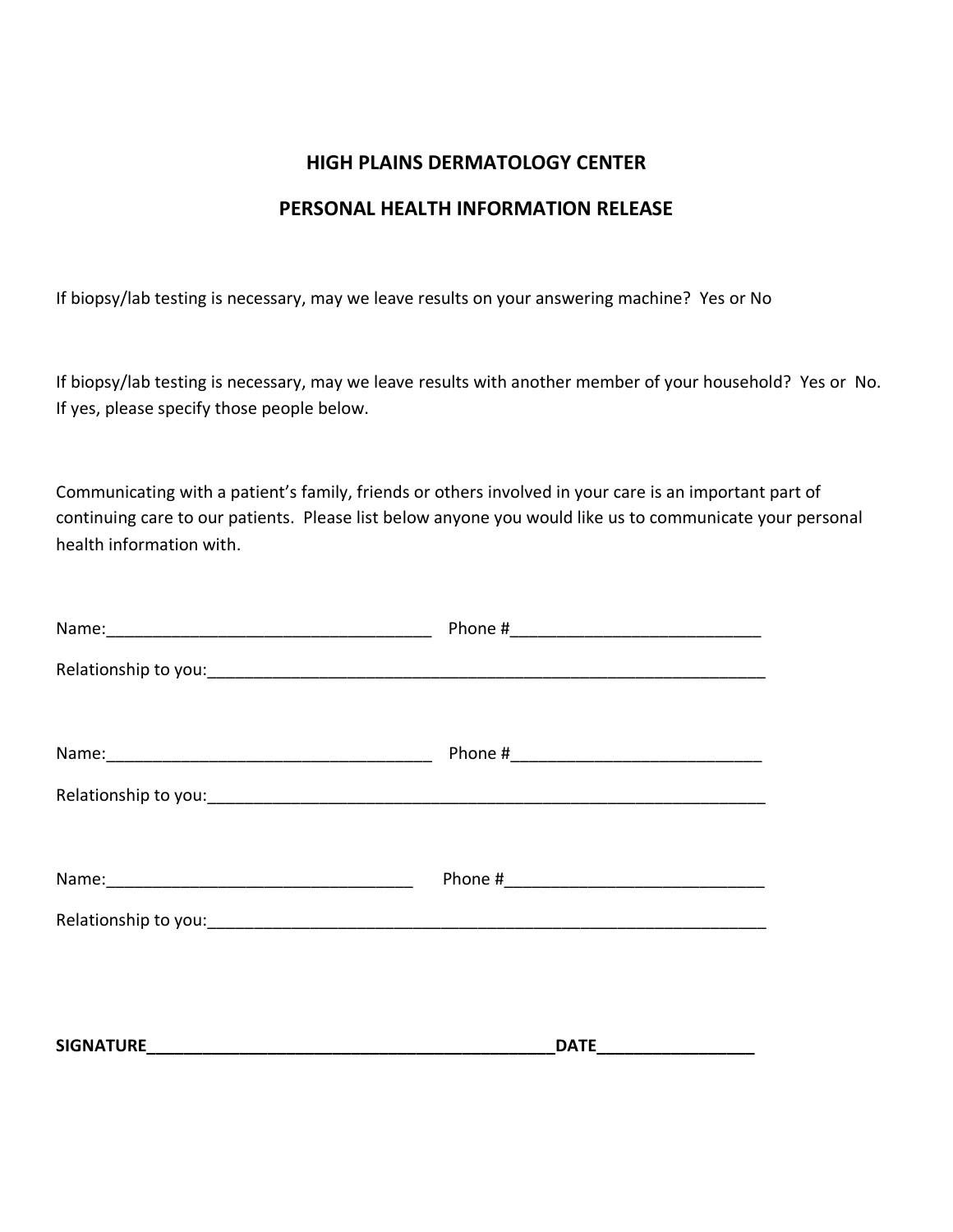### **HIGH PLAINS DERMATOLOGY CENTER**

### **PERSONAL HEALTH INFORMATION RELEASE**

If biopsy/lab testing is necessary, may we leave results on your answering machine? Yes or No

If biopsy/lab testing is necessary, may we leave results with another member of your household? Yes or No. If yes, please specify those people below.

Communicating with a patient's family, friends or others involved in your care is an important part of continuing care to our patients. Please list below anyone you would like us to communicate your personal health information with.

| DATE_____________________ |
|---------------------------|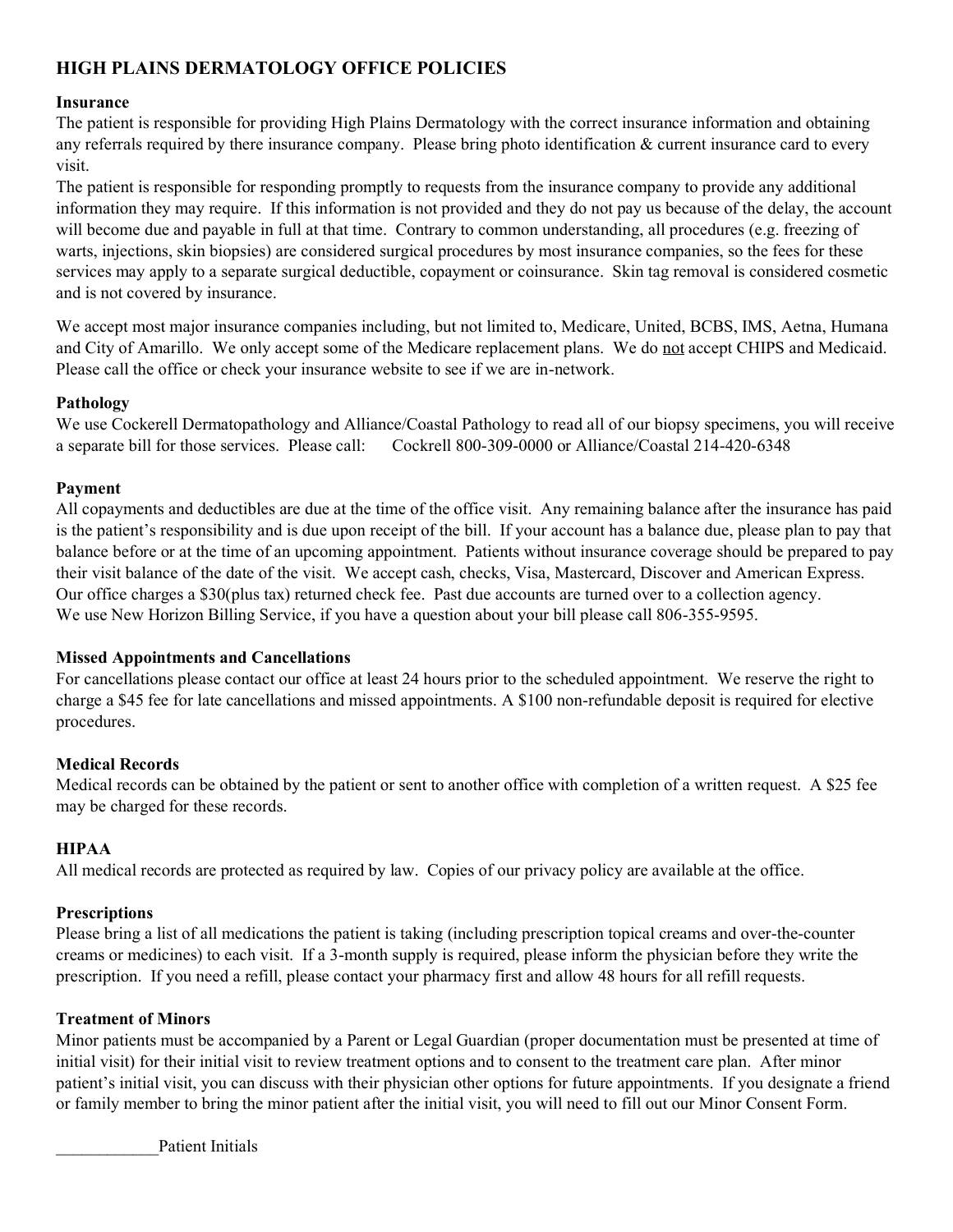### **HIGH PLAINS DERMATOLOGY OFFICE POLICIES**

#### **Insurance**

The patient is responsible for providing High Plains Dermatology with the correct insurance information and obtaining any referrals required by there insurance company. Please bring photo identification & current insurance card to every visit.

The patient is responsible for responding promptly to requests from the insurance company to provide any additional information they may require. If this information is not provided and they do not pay us because of the delay, the account will become due and payable in full at that time. Contrary to common understanding, all procedures (e.g. freezing of warts, injections, skin biopsies) are considered surgical procedures by most insurance companies, so the fees for these services may apply to a separate surgical deductible, copayment or coinsurance. Skin tag removal is considered cosmetic and is not covered by insurance.

We accept most major insurance companies including, but not limited to, Medicare, United, BCBS, IMS, Aetna, Humana and City of Amarillo. We only accept some of the Medicare replacement plans. We do not accept CHIPS and Medicaid. Please call the office or check your insurance website to see if we are in-network.

#### **Pathology**

We use Cockerell Dermatopathology and Alliance/Coastal Pathology to read all of our biopsy specimens, you will receive a separate bill for those services. Please call: Cockrell 800-309-0000 or Alliance/Coastal 214-420-6348

#### **Payment**

All copayments and deductibles are due at the time of the office visit. Any remaining balance after the insurance has paid is the patient's responsibility and is due upon receipt of the bill. If your account has a balance due, please plan to pay that balance before or at the time of an upcoming appointment. Patients without insurance coverage should be prepared to pay their visit balance of the date of the visit. We accept cash, checks, Visa, Mastercard, Discover and American Express. Our office charges a \$30(plus tax) returned check fee. Past due accounts are turned over to a collection agency. We use New Horizon Billing Service, if you have a question about your bill please call 806-355-9595.

#### **Missed Appointments and Cancellations**

For cancellations please contact our office at least 24 hours prior to the scheduled appointment. We reserve the right to charge a \$45 fee for late cancellations and missed appointments. A \$100 non-refundable deposit is required for elective procedures.

#### **Medical Records**

Medical records can be obtained by the patient or sent to another office with completion of a written request. A \$25 fee may be charged for these records.

#### **HIPAA**

All medical records are protected as required by law. Copies of our privacy policy are available at the office.

#### **Prescriptions**

Please bring a list of all medications the patient is taking (including prescription topical creams and over-the-counter creams or medicines) to each visit. If a 3-month supply is required, please inform the physician before they write the prescription. If you need a refill, please contact your pharmacy first and allow 48 hours for all refill requests.

#### **Treatment of Minors**

Minor patients must be accompanied by a Parent or Legal Guardian (proper documentation must be presented at time of initial visit) for their initial visit to review treatment options and to consent to the treatment care plan. After minor patient's initial visit, you can discuss with their physician other options for future appointments. If you designate a friend or family member to bring the minor patient after the initial visit, you will need to fill out our Minor Consent Form.

Patient Initials